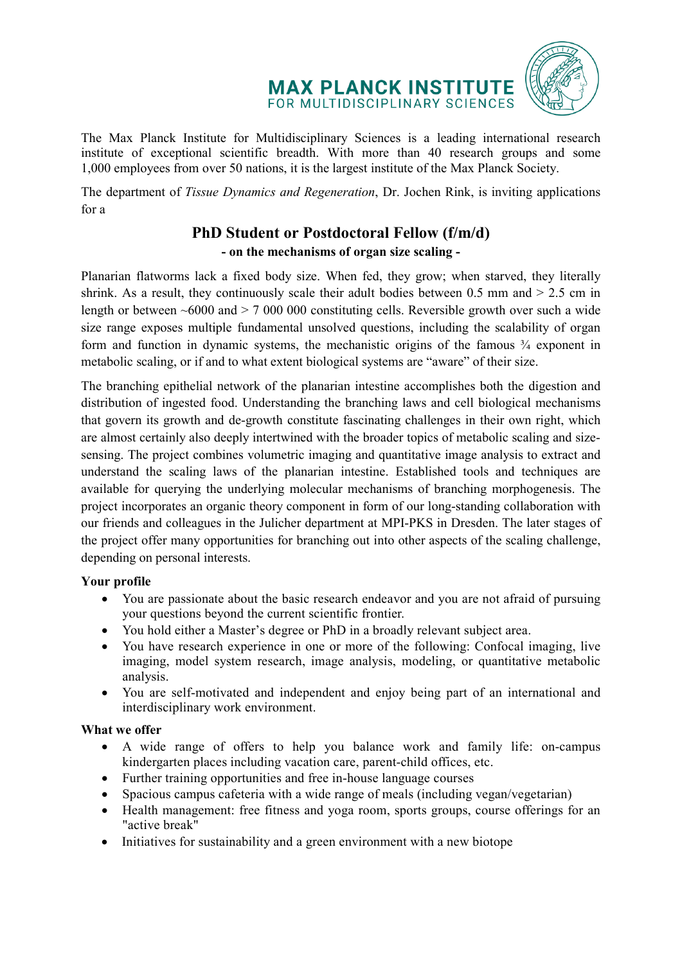# **MAX PLANCK INSTITUTE** FOR MULTIDISCIPLINARY SCIENCES



The Max Planck Institute for Multidisciplinary Sciences is a leading international research institute of exceptional scientific breadth. With more than 40 research groups and some 1,000 employees from over 50 nations, it is the largest institute of the Max Planck Society.

The department of *Tissue Dynamics and Regeneration*, Dr. Jochen Rink, is inviting applications for a

# **PhD Student or Postdoctoral Fellow (f/m/d) - on the mechanisms of organ size scaling -**

Planarian flatworms lack a fixed body size. When fed, they grow; when starved, they literally shrink. As a result, they continuously scale their adult bodies between 0.5 mm and > 2.5 cm in length or between  $~6000$  and  $> 7000$  000 constituting cells. Reversible growth over such a wide size range exposes multiple fundamental unsolved questions, including the scalability of organ form and function in dynamic systems, the mechanistic origins of the famous  $\frac{3}{4}$  exponent in metabolic scaling, or if and to what extent biological systems are "aware" of their size.

The branching epithelial network of the planarian intestine accomplishes both the digestion and distribution of ingested food. Understanding the branching laws and cell biological mechanisms that govern its growth and de-growth constitute fascinating challenges in their own right, which are almost certainly also deeply intertwined with the broader topics of metabolic scaling and sizesensing. The project combines volumetric imaging and quantitative image analysis to extract and understand the scaling laws of the planarian intestine. Established tools and techniques are available for querying the underlying molecular mechanisms of branching morphogenesis. The project incorporates an organic theory component in form of our long-standing collaboration with our friends and colleagues in the Julicher department at MPI-PKS in Dresden. The later stages of the project offer many opportunities for branching out into other aspects of the scaling challenge, depending on personal interests.

# **Your profile**

- You are passionate about the basic research endeavor and you are not afraid of pursuing your questions beyond the current scientific frontier.
- You hold either a Master's degree or PhD in a broadly relevant subject area.
- You have research experience in one or more of the following: Confocal imaging, live imaging, model system research, image analysis, modeling, or quantitative metabolic analysis.
- You are self-motivated and independent and enjoy being part of an international and interdisciplinary work environment.

# **What we offer**

- A wide range of offers to help you balance work and family life: on-campus kindergarten places including vacation care, parent-child offices, etc.
- Further training opportunities and free in-house language courses
- Spacious campus cafeteria with a wide range of meals (including vegan/vegetarian)
- Health management: free fitness and yoga room, sports groups, course offerings for an "active break"
- Initiatives for sustainability and a green environment with a new biotope